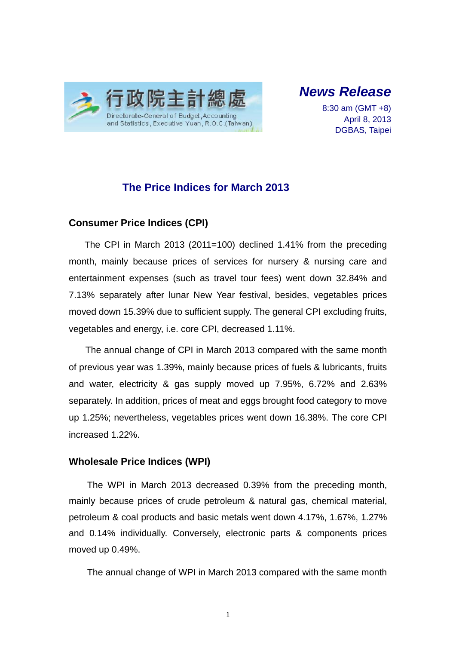

*News Release* 

8:30 am (GMT +8) April 8, 2013 DGBAS, Taipei

## **The Price Indices for March 2013**

#### **Consumer Price Indices (CPI)**

The CPI in March 2013 (2011=100) declined 1.41% from the preceding month, mainly because prices of services for nursery & nursing care and entertainment expenses (such as travel tour fees) went down 32.84% and 7.13% separately after lunar New Year festival, besides, vegetables prices moved down 15.39% due to sufficient supply. The general CPI excluding fruits, vegetables and energy, i.e. core CPI, decreased 1.11%.

The annual change of CPI in March 2013 compared with the same month of previous year was 1.39%, mainly because prices of fuels & lubricants, fruits and water, electricity & gas supply moved up 7.95%, 6.72% and 2.63% separately. In addition, prices of meat and eggs brought food category to move up 1.25%; nevertheless, vegetables prices went down 16.38%. The core CPI increased 1.22%.

#### **Wholesale Price Indices (WPI)**

The WPI in March 2013 decreased 0.39% from the preceding month, mainly because prices of crude petroleum & natural gas, chemical material, petroleum & coal products and basic metals went down 4.17%, 1.67%, 1.27% and 0.14% individually. Conversely, electronic parts & components prices moved up 0.49%.

The annual change of WPI in March 2013 compared with the same month

1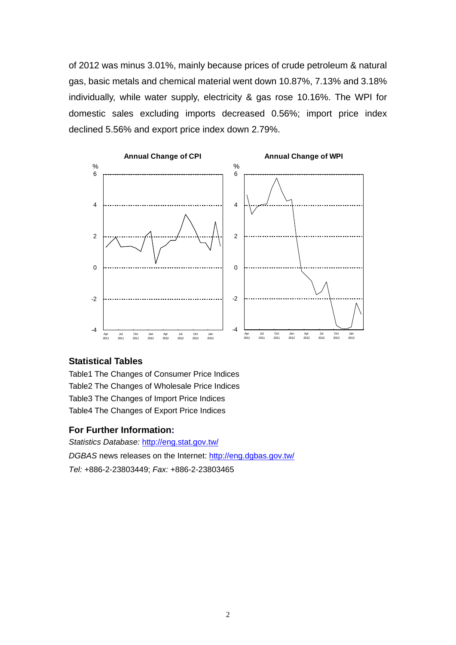of 2012 was minus 3.01%, mainly because prices of crude petroleum & natural gas, basic metals and chemical material went down 10.87%, 7.13% and 3.18% individually, while water supply, electricity & gas rose 10.16%. The WPI for domestic sales excluding imports decreased 0.56%; import price index declined 5.56% and export price index down 2.79%.



#### **Statistical Tables**

Table1 The Changes of Consumer Price Indices Table2 The Changes of Wholesale Price Indices Table3 The Changes of Import Price Indices Table4 The Changes of Export Price Indices

#### **For Further Information:**

*Statistics Database:* http://eng.stat.gov.tw/ *DGBAS* news releases on the Internet: http://eng.dgbas.gov.tw/ *Tel:* +886-2-23803449; *Fax:* +886-2-23803465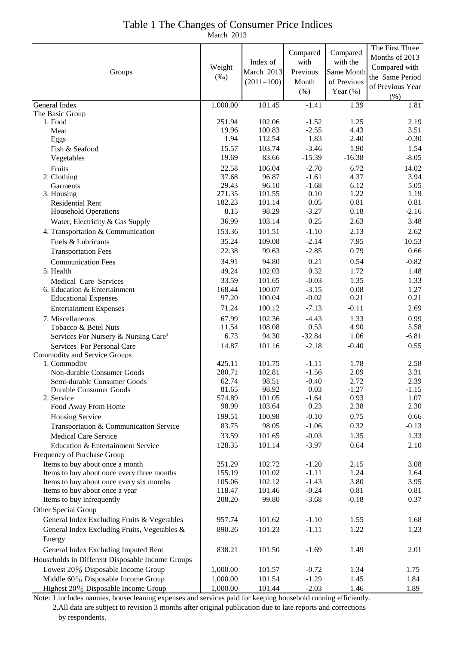## Table 1 The Changes of Consumer Price Indices

March 2013

|                                                                            |                  |                  |                    |              | The First Three  |
|----------------------------------------------------------------------------|------------------|------------------|--------------------|--------------|------------------|
|                                                                            |                  |                  | Compared           | Compared     | Months of 2013   |
|                                                                            | Weight           | Index of         | with               | with the     | Compared with    |
| Groups                                                                     | $(\%0)$          | March 2013       | Previous           | Same Month   | the Same Period  |
|                                                                            |                  | $(2011=100)$     | Month              | of Previous  | of Previous Year |
|                                                                            |                  |                  | (% )               | Year $(\%)$  | (% )             |
| General Index                                                              | 1,000.00         | 101.45           | $-1.41$            | 1.39         | 1.81             |
| The Basic Group                                                            |                  |                  |                    |              |                  |
| 1. Food                                                                    | 251.94           | 102.06           | $-1.52$            | 1.25         | 2.19             |
| Meat                                                                       | 19.96<br>1.94    | 100.83<br>112.54 | $-2.55$<br>1.83    | 4.43<br>2.40 | 3.51<br>$-0.30$  |
| Eggs<br>Fish & Seafood                                                     | 15.57            | 103.74           | $-3.46$            | 1.90         | 1.54             |
| Vegetables                                                                 | 19.69            | 83.66            | $-15.39$           | $-16.38$     | $-8.05$          |
| Fruits                                                                     | 22.58            | 106.04           | $-2.70$            | 6.72         | 14.02            |
| 2. Clothing                                                                | 37.68            | 96.87            | $-1.61$            | 4.37         | 3.94             |
| Garments                                                                   | 29.43            | 96.10            | $-1.68$            | 6.12         | 5.05             |
| 3. Housing                                                                 | 271.35           | 101.55           | 0.10               | 1.22         | 1.19             |
| <b>Residential Rent</b>                                                    | 182.23           | 101.14           | 0.05               | 0.81         | 0.81             |
| <b>Household Operations</b>                                                | 8.15             | 98.29            | $-3.27$            | 0.18         | $-2.16$          |
| Water, Electricity & Gas Supply                                            | 36.99            | 103.14           | 0.25               | 2.63         | 3.48             |
| 4. Transportation & Communication                                          | 153.36           | 101.51           | $-1.10$            | 2.13         | 2.62             |
| Fuels & Lubricants                                                         | 35.24            | 109.08           | $-2.14$            | 7.95         | 10.53            |
| <b>Transportation Fees</b>                                                 | 22.38            | 99.63            | $-2.85$            | 0.79         | 0.66             |
| <b>Communication Fees</b>                                                  | 34.91            | 94.80            | 0.21               | 0.54         | $-0.82$          |
| 5. Health                                                                  | 49.24            | 102.03           | 0.32               | 1.72         | 1.48             |
| Medical Care Services                                                      | 33.59            | 101.65           | $-0.03$            | 1.35         | 1.33             |
| 6. Education & Entertainment                                               | 168.44           | 100.07           | $-3.15$            | 0.08         | 1.27             |
| <b>Educational Expenses</b>                                                | 97.20            | 100.04           | $-0.02$            | 0.21         | 0.21             |
| <b>Entertainment Expenses</b>                                              | 71.24            | 100.12           | $-7.13$            | $-0.11$      | 2.69             |
| 7. Miscellaneous                                                           | 67.99            | 102.36           | $-4.43$            | 1.33         | 0.99             |
| Tobacco & Betel Nuts                                                       | 11.54            | 108.08           | 0.53               | 4.90         | 5.58             |
| Services For Nursery & Nursing Care <sup>1</sup>                           | 6.73             | 94.30            | $-32.84$           | 1.06         | $-6.81$          |
| Services For Personal Care                                                 | 14.87            | 101.16           | $-2.18$            | $-0.40$      | 0.55             |
| <b>Commodity and Service Groups</b>                                        |                  |                  |                    |              |                  |
| 1. Commodity                                                               | 425.11           | 101.75           | $-1.11$            | 1.78         | 2.58             |
| Non-durable Consumer Goods                                                 | 280.71           | 102.81           | $-1.56$            | 2.09         | 3.31             |
| Semi-durable Consumer Goods                                                | 62.74            | 98.51            | $-0.40$            | 2.72         | 2.39             |
| Durable Consumer Goods                                                     | 81.65            | 98.92            | 0.03               | $-1.27$      | $-1.15$          |
| 2. Service                                                                 | 574.89           | 101.05           | $-1.64$            | 0.93         | 1.07             |
| Food Away From Home                                                        | 98.99            | 103.64           | 0.23               | 2.38         | 2.30             |
| Housing Service                                                            | 199.51           | 100.98           | $-0.10$            | 0.75         | 0.66             |
| Transportation & Communication Service                                     | 83.75            | 98.05            | $-1.06$            | 0.32         | $-0.13$          |
| <b>Medical Care Service</b>                                                | 33.59            | 101.65           | $-0.03$            | 1.35         | 1.33             |
| Education & Entertainment Service                                          | 128.35           | 101.14           | $-3.97$            | 0.64         | 2.10             |
| Frequency of Purchase Group                                                |                  |                  |                    |              |                  |
| Items to buy about once a month                                            | 251.29           | 102.72           | $-1.20$            | 2.15         | 3.08             |
| Items to buy about once every three months                                 | 155.19<br>105.06 | 101.02<br>102.12 | $-1.11$<br>$-1.43$ | 1.24         | 1.64             |
| Items to buy about once every six months<br>Items to buy about once a year | 118.47           | 101.46           | $-0.24$            | 3.80<br>0.81 | 3.95<br>0.81     |
| Items to buy infrequently                                                  | 208.20           | 99.80            | $-3.68$            | $-0.18$      | 0.37             |
|                                                                            |                  |                  |                    |              |                  |
| Other Special Group                                                        |                  |                  |                    |              |                  |
| General Index Excluding Fruits & Vegetables                                | 957.74           | 101.62           | $-1.10$            | 1.55         | 1.68             |
| General Index Excluding Fruits, Vegetables &                               | 890.26           | 101.23           | $-1.11$            | 1.22         | 1.23             |
| Energy                                                                     |                  |                  |                    |              |                  |
| General Index Excluding Imputed Rent                                       | 838.21           | 101.50           | $-1.69$            | 1.49         | 2.01             |
| Households in Different Disposable Income Groups                           |                  |                  |                    |              |                  |
| Lowest 20% Disposable Income Group                                         | 1,000.00         | 101.57           | $-0.72$            | 1.34         | 1.75             |
| Middle 60% Disposable Income Group                                         | 1,000.00         | 101.54           | $-1.29$            | 1.45         | 1.84             |
| Highest 20% Disposable Income Group                                        | 1,000.00         | 101.44           | $-2.03$            | 1.46         | 1.89             |

Note: 1.includes nannies, housecleaning expenses and services paid for keeping household running efficiently.

2.All data are subject to revision 3 months after original publication due to late reports and corrections

by respondents.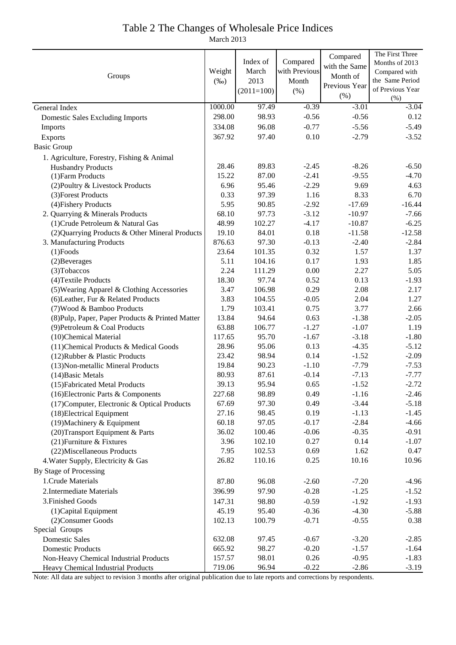# Table 2 The Changes of Wholesale Price Indices

March 2013

|                                                          |                |                |                    | Compared      | The First Three  |
|----------------------------------------------------------|----------------|----------------|--------------------|---------------|------------------|
| Groups                                                   |                | Index of       | Compared           | with the Same | Months of 2013   |
|                                                          |                | March          | with Previous      | Month of      | Compared with    |
|                                                          |                | 2013           | Month              | Previous Year | the Same Period  |
|                                                          |                | $(2011=100)$   | (% )               | (% )          | of Previous Year |
|                                                          | 1000.00        | 97.49          | $-0.39$            | $-3.01$       | (%)<br>$-3.04$   |
| General Index                                            | 298.00         | 98.93          | $-0.56$            | $-0.56$       | 0.12             |
| <b>Domestic Sales Excluding Imports</b>                  |                |                |                    |               |                  |
| Imports                                                  | 334.08         | 96.08          | $-0.77$            | $-5.56$       | $-5.49$          |
| Exports                                                  | 367.92         | 97.40          | 0.10               | $-2.79$       | $-3.52$          |
| <b>Basic Group</b>                                       |                |                |                    |               |                  |
| 1. Agriculture, Forestry, Fishing & Animal               |                |                |                    |               |                  |
| <b>Husbandry Products</b>                                | 28.46<br>15.22 | 89.83          | $-2.45$<br>$-2.41$ | $-8.26$       | $-6.50$          |
| (1) Farm Products                                        | 6.96           | 87.00          | $-2.29$            | $-9.55$       | $-4.70$          |
| (2) Poultry & Livestock Products                         | 0.33           | 95.46<br>97.39 | 1.16               | 9.69<br>8.33  | 4.63<br>6.70     |
| (3) Forest Products                                      | 5.95           | 90.85          | $-2.92$            | $-17.69$      | $-16.44$         |
| (4) Fishery Products<br>2. Quarrying & Minerals Products | 68.10          | 97.73          | $-3.12$            | $-10.97$      | $-7.66$          |
| (1) Crude Petroleum & Natural Gas                        | 48.99          | 102.27         | $-4.17$            | $-10.87$      | $-6.25$          |
| (2) Quarrying Products & Other Mineral Products          | 19.10          | 84.01          | 0.18               | $-11.58$      | $-12.58$         |
| 3. Manufacturing Products                                | 876.63         | 97.30          | $-0.13$            | $-2.40$       | $-2.84$          |
| $(1)$ Foods                                              | 23.64          | 101.35         | 0.32               | 1.57          | 1.37             |
| (2) Beverages                                            | 5.11           | 104.16         | 0.17               | 1.93          | 1.85             |
| (3) Tobaccos                                             | 2.24           | 111.29         | 0.00               | 2.27          | 5.05             |
| (4) Textile Products                                     | 18.30          | 97.74          | 0.52               | 0.13          | $-1.93$          |
| (5) Wearing Apparel & Clothing Accessories               | 3.47           | 106.98         | 0.29               | 2.08          | 2.17             |
| (6) Leather, Fur & Related Products                      | 3.83           | 104.55         | $-0.05$            | 2.04          | 1.27             |
| (7) Wood & Bamboo Products                               | 1.79           | 103.41         | 0.75               | 3.77          | 2.66             |
| (8) Pulp, Paper, Paper Products & Printed Matter         | 13.84          | 94.64          | 0.63               | $-1.38$       | $-2.05$          |
| (9) Petroleum & Coal Products                            | 63.88          | 106.77         | $-1.27$            | $-1.07$       | 1.19             |
| (10)Chemical Material                                    | 117.65         | 95.70          | $-1.67$            | $-3.18$       | $-1.80$          |
| (11) Chemical Products & Medical Goods                   | 28.96          | 95.06          | 0.13               | $-4.35$       | $-5.12$          |
| (12) Rubber & Plastic Products                           | 23.42          | 98.94          | 0.14               | $-1.52$       | $-2.09$          |
| (13) Non-metallic Mineral Products                       | 19.84          | 90.23          | $-1.10$            | $-7.79$       | $-7.53$          |
| (14) Basic Metals                                        | 80.93          | 87.61          | $-0.14$            | $-7.13$       | $-7.77$          |
| (15) Fabricated Metal Products                           | 39.13          | 95.94          | 0.65               | $-1.52$       | $-2.72$          |
| (16) Electronic Parts & Components                       | 227.68         | 98.89          | 0.49               | $-1.16$       | $-2.46$          |
| (17) Computer, Electronic & Optical Products             | 67.69          | 97.30          | 0.49               | $-3.44$       | $-5.18$          |
| (18) Electrical Equipment                                | 27.16          | 98.45          | 0.19               | $-1.13$       | $-1.45$          |
| (19) Machinery & Equipment                               | 60.18          | 97.05          | $-0.17$            | $-2.84$       | $-4.66$          |
| (20) Transport Equipment & Parts                         | 36.02          | 100.46         | $-0.06$            | $-0.35$       | $-0.91$          |
| (21) Furniture & Fixtures                                | 3.96           | 102.10         | 0.27               | 0.14          | $-1.07$          |
| (22) Miscellaneous Products                              | 7.95           | 102.53         | 0.69               | 1.62          | 0.47             |
| 4. Water Supply, Electricity & Gas                       | 26.82          | 110.16         | 0.25               | 10.16         | 10.96            |
| By Stage of Processing                                   |                |                |                    |               |                  |
| 1. Crude Materials                                       | 87.80          | 96.08          | $-2.60$            | $-7.20$       | $-4.96$          |
| 2. Intermediate Materials                                | 396.99         | 97.90          | $-0.28$            | $-1.25$       | $-1.52$          |
| 3. Finished Goods                                        | 147.31         | 98.80          | $-0.59$            | $-1.92$       | $-1.93$          |
| (1) Capital Equipment                                    | 45.19          | 95.40          | $-0.36$            | $-4.30$       | $-5.88$          |
| (2) Consumer Goods                                       | 102.13         | 100.79         | $-0.71$            | $-0.55$       | 0.38             |
| Special Groups                                           |                |                |                    |               |                  |
| <b>Domestic Sales</b>                                    | 632.08         | 97.45          | $-0.67$            | $-3.20$       | $-2.85$          |
| <b>Domestic Products</b>                                 | 665.92         | 98.27          | $-0.20$            | $-1.57$       | $-1.64$          |
| Non-Heavy Chemical Industrial Products                   | 157.57         | 98.01          | 0.26               | $-0.95$       | $-1.83$          |
| Heavy Chemical Industrial Products                       | 719.06         | 96.94          | $-0.22$            | $-2.86$       | $-3.19$          |

Note: All data are subject to revision 3 months after original publication due to late reports and corrections by respondents.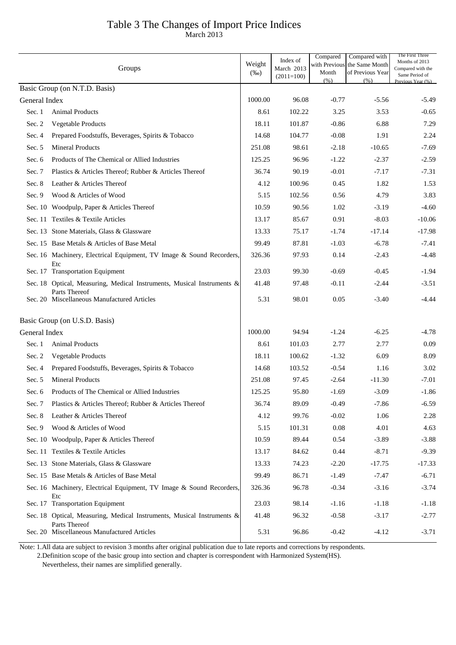## Table 3 The Changes of Import Price Indices

March 2013

|               | Groups                                                                                  | Weight<br>$(\%0)$ | Index of<br>March 2013<br>$(2011=100)$ | Compared<br>with Previous<br>Month | Compared with<br>the Same Month<br>of Previous Year | The First Three<br>Months of 2013<br>Compared with the<br>Same Period of |
|---------------|-----------------------------------------------------------------------------------------|-------------------|----------------------------------------|------------------------------------|-----------------------------------------------------|--------------------------------------------------------------------------|
|               | Basic Group (on N.T.D. Basis)                                                           |                   |                                        | (% )                               | (% )                                                | Previous Year (%)                                                        |
| General Index |                                                                                         | 1000.00           | 96.08                                  | $-0.77$                            | $-5.56$                                             | $-5.49$                                                                  |
| Sec. 1        | <b>Animal Products</b>                                                                  | 8.61              | 102.22                                 | 3.25                               | 3.53                                                | $-0.65$                                                                  |
| Sec. 2        | <b>Vegetable Products</b>                                                               | 18.11             | 101.87                                 | $-0.86$                            | 6.88                                                | 7.29                                                                     |
| Sec. 4        | Prepared Foodstuffs, Beverages, Spirits & Tobacco                                       | 14.68             | 104.77                                 | $-0.08$                            | 1.91                                                | 2.24                                                                     |
| Sec. $5$      | <b>Mineral Products</b>                                                                 | 251.08            | 98.61                                  | $-2.18$                            | $-10.65$                                            | $-7.69$                                                                  |
| Sec. 6        | Products of The Chemical or Allied Industries                                           | 125.25            | 96.96                                  | $-1.22$                            | $-2.37$                                             | $-2.59$                                                                  |
| Sec. 7        | Plastics & Articles Thereof; Rubber & Articles Thereof                                  | 36.74             | 90.19                                  | $-0.01$                            | $-7.17$                                             | $-7.31$                                                                  |
| Sec. 8        | Leather & Articles Thereof                                                              | 4.12              | 100.96                                 | 0.45                               | 1.82                                                | 1.53                                                                     |
| Sec. $9$      | Wood & Articles of Wood                                                                 | 5.15              | 102.56                                 | 0.56                               | 4.79                                                | 3.83                                                                     |
|               | Sec. 10 Woodpulp, Paper & Articles Thereof                                              | 10.59             | 90.56                                  | 1.02                               | $-3.19$                                             | $-4.60$                                                                  |
|               | Sec. 11 Textiles & Textile Articles                                                     | 13.17             | 85.67                                  | 0.91                               | $-8.03$                                             | $-10.06$                                                                 |
|               | Sec. 13 Stone Materials, Glass & Glassware                                              | 13.33             | 75.17                                  | $-1.74$                            | $-17.14$                                            | $-17.98$                                                                 |
|               | Sec. 15 Base Metals & Articles of Base Metal                                            | 99.49             | 87.81                                  | $-1.03$                            | $-6.78$                                             | $-7.41$                                                                  |
|               | Sec. 16 Machinery, Electrical Equipment, TV Image & Sound Recorders,<br>Etc             | 326.36            | 97.93                                  | 0.14                               | $-2.43$                                             | $-4.48$                                                                  |
|               | Sec. 17 Transportation Equipment                                                        | 23.03             | 99.30                                  | $-0.69$                            | $-0.45$                                             | $-1.94$                                                                  |
|               | Sec. 18 Optical, Measuring, Medical Instruments, Musical Instruments &<br>Parts Thereof | 41.48             | 97.48                                  | $-0.11$                            | $-2.44$                                             | $-3.51$                                                                  |
|               | Sec. 20 Miscellaneous Manufactured Articles                                             | 5.31              | 98.01                                  | 0.05                               | $-3.40$                                             | $-4.44$                                                                  |
|               | Basic Group (on U.S.D. Basis)                                                           |                   |                                        |                                    |                                                     |                                                                          |
| General Index |                                                                                         | 1000.00           | 94.94                                  | $-1.24$                            | $-6.25$                                             | $-4.78$                                                                  |
| Sec. 1        | <b>Animal Products</b>                                                                  | 8.61              | 101.03                                 | 2.77                               | 2.77                                                | 0.09                                                                     |
| Sec. 2        | Vegetable Products                                                                      | 18.11             | 100.62                                 | $-1.32$                            | 6.09                                                | 8.09                                                                     |
| Sec. 4        | Prepared Foodstuffs, Beverages, Spirits & Tobacco                                       | 14.68             | 103.52                                 | $-0.54$                            | 1.16                                                | 3.02                                                                     |
| Sec. $5$      | <b>Mineral Products</b>                                                                 | 251.08            | 97.45                                  | $-2.64$                            | $-11.30$                                            | $-7.01$                                                                  |
| Sec. 6        | Products of The Chemical or Allied Industries                                           | 125.25            | 95.80                                  | $-1.69$                            | $-3.09$                                             | $-1.86$                                                                  |
| Sec. 7        | Plastics & Articles Thereof; Rubber & Articles Thereof                                  | 36.74             | 89.09                                  | $-0.49$                            | $-7.86$                                             | $-6.59$                                                                  |
| Sec. 8        | Leather & Articles Thereof                                                              | 4.12              | 99.76                                  | $-0.02$                            | 1.06                                                | 2.28                                                                     |
| Sec. 9        | Wood & Articles of Wood                                                                 | 5.15              | 101.31                                 | 0.08                               | 4.01                                                | 4.63                                                                     |
|               | Sec. 10 Woodpulp, Paper & Articles Thereof                                              | 10.59             | 89.44                                  | 0.54                               | $-3.89$                                             | $-3.88$                                                                  |
|               | Sec. 11 Textiles & Textile Articles                                                     | 13.17             | 84.62                                  | 0.44                               | $-8.71$                                             | $-9.39$                                                                  |
|               | Sec. 13 Stone Materials, Glass & Glassware                                              | 13.33             | 74.23                                  | $-2.20$                            | $-17.75$                                            | $-17.33$                                                                 |
|               | Sec. 15 Base Metals & Articles of Base Metal                                            | 99.49             | 86.71                                  | $-1.49$                            | $-7.47$                                             | $-6.71$                                                                  |
|               | Sec. 16 Machinery, Electrical Equipment, TV Image & Sound Recorders,<br>Etc             | 326.36            | 96.78                                  | $-0.34$                            | $-3.16$                                             | $-3.74$                                                                  |
|               | Sec. 17 Transportation Equipment                                                        | 23.03             | 98.14                                  | $-1.16$                            | $-1.18$                                             | $-1.18$                                                                  |
|               | Sec. 18 Optical, Measuring, Medical Instruments, Musical Instruments &<br>Parts Thereof | 41.48             | 96.32                                  | $-0.58$                            | $-3.17$                                             | $-2.77$                                                                  |
|               | Sec. 20 Miscellaneous Manufactured Articles                                             | 5.31              | 96.86                                  | $-0.42$                            | $-4.12$                                             | $-3.71$                                                                  |

Note: 1.All data are subject to revision 3 months after original publication due to late reports and corrections by respondents.

2.Definition scope of the basic group into section and chapter is correspondent with Harmonized System(HS).

Nevertheless, their names are simplified generally.